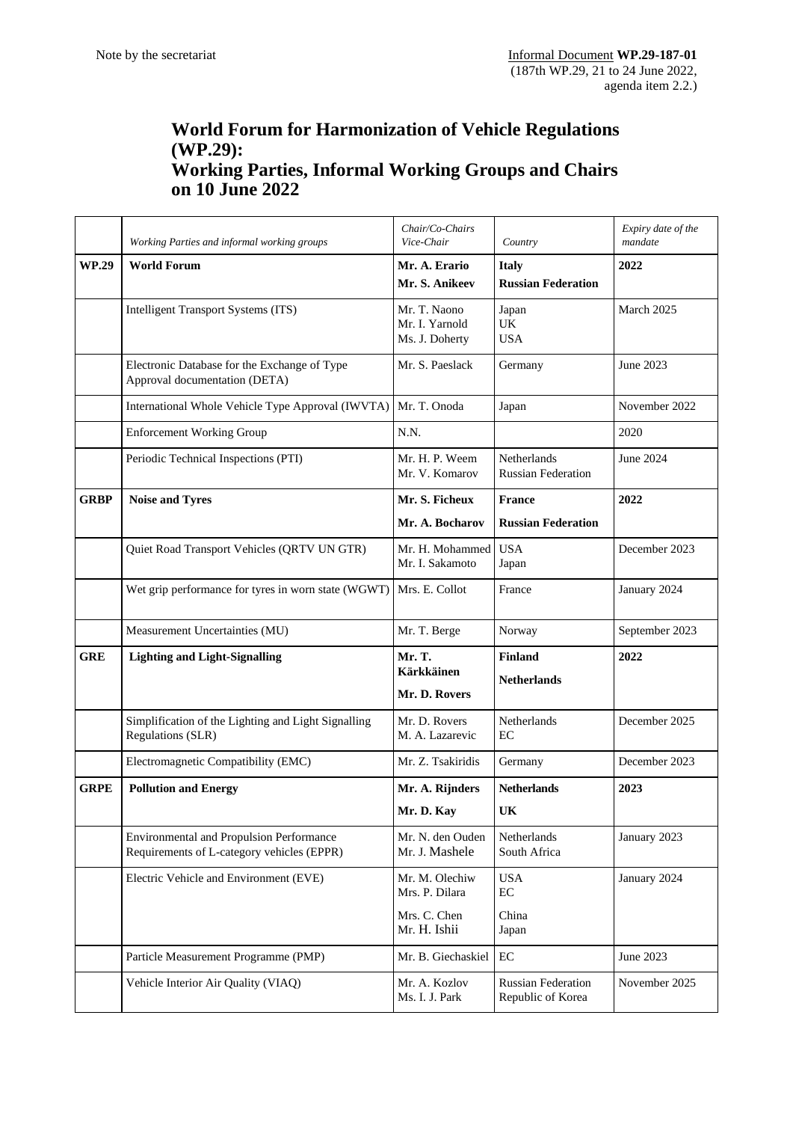## **World Forum for Harmonization of Vehicle Regulations (WP.29): Working Parties, Informal Working Groups and Chairs on 10 June 2022**

|              | Working Parties and informal working groups                                                   | Chair/Co-Chairs<br>Vice-Chair                    | Country                                        | Expiry date of the<br>mandate |
|--------------|-----------------------------------------------------------------------------------------------|--------------------------------------------------|------------------------------------------------|-------------------------------|
| <b>WP.29</b> | <b>World Forum</b>                                                                            | Mr. A. Erario<br>Mr. S. Anikeev                  | <b>Italy</b><br><b>Russian Federation</b>      | 2022                          |
|              | Intelligent Transport Systems (ITS)                                                           | Mr. T. Naono<br>Mr. I. Yarnold<br>Ms. J. Doherty | Japan<br><b>UK</b><br><b>USA</b>               | March 2025                    |
|              | Electronic Database for the Exchange of Type<br>Approval documentation (DETA)                 | Mr. S. Paeslack                                  | Germany                                        | June 2023                     |
|              | International Whole Vehicle Type Approval (IWVTA)                                             | Mr. T. Onoda                                     | Japan                                          | November 2022                 |
|              | <b>Enforcement Working Group</b>                                                              | N.N.                                             |                                                | 2020                          |
|              | Periodic Technical Inspections (PTI)                                                          | Mr. H. P. Weem<br>Mr. V. Komarov                 | Netherlands<br><b>Russian Federation</b>       | June 2024                     |
| <b>GRBP</b>  | <b>Noise and Tyres</b>                                                                        | Mr. S. Ficheux                                   | <b>France</b>                                  | 2022                          |
|              |                                                                                               | Mr. A. Bocharov                                  | <b>Russian Federation</b>                      |                               |
|              | Quiet Road Transport Vehicles (QRTV UN GTR)                                                   | Mr. H. Mohammed<br>Mr. I. Sakamoto               | <b>USA</b><br>Japan                            | December 2023                 |
|              | Wet grip performance for tyres in worn state (WGWT)                                           | Mrs. E. Collot                                   | France                                         | January 2024                  |
|              | Measurement Uncertainties (MU)                                                                | Mr. T. Berge                                     | Norway                                         | September 2023                |
| <b>GRE</b>   | <b>Lighting and Light-Signalling</b>                                                          | Mr. T.<br><b>Kärkkäinen</b><br>Mr. D. Rovers     | <b>Finland</b><br><b>Netherlands</b>           | 2022                          |
|              | Simplification of the Lighting and Light Signalling<br>Regulations (SLR)                      | Mr. D. Rovers<br>M. A. Lazarevic                 | Netherlands<br>EC                              | December 2025                 |
|              | Electromagnetic Compatibility (EMC)                                                           | Mr. Z. Tsakiridis                                | Germany                                        | December 2023                 |
| <b>GRPE</b>  | <b>Pollution and Energy</b>                                                                   | Mr. A. Rijnders<br>Mr. D. Kay                    | <b>Netherlands</b><br>UK                       | 2023                          |
|              | <b>Environmental and Propulsion Performance</b><br>Requirements of L-category vehicles (EPPR) | Mr. N. den Ouden<br>Mr. J. Mashele               | Netherlands<br>South Africa                    | January 2023                  |
|              | Electric Vehicle and Environment (EVE)                                                        | Mr. M. Olechiw<br>Mrs. P. Dilara                 | <b>USA</b><br>$\rm EC$                         | January 2024                  |
|              |                                                                                               | Mrs. C. Chen<br>Mr. H. Ishii                     | China<br>Japan                                 |                               |
|              | Particle Measurement Programme (PMP)                                                          | Mr. B. Giechaskiel                               | $\rm EC$                                       | June 2023                     |
|              | Vehicle Interior Air Quality (VIAQ)                                                           | Mr. A. Kozlov<br>Ms. I. J. Park                  | <b>Russian Federation</b><br>Republic of Korea | November 2025                 |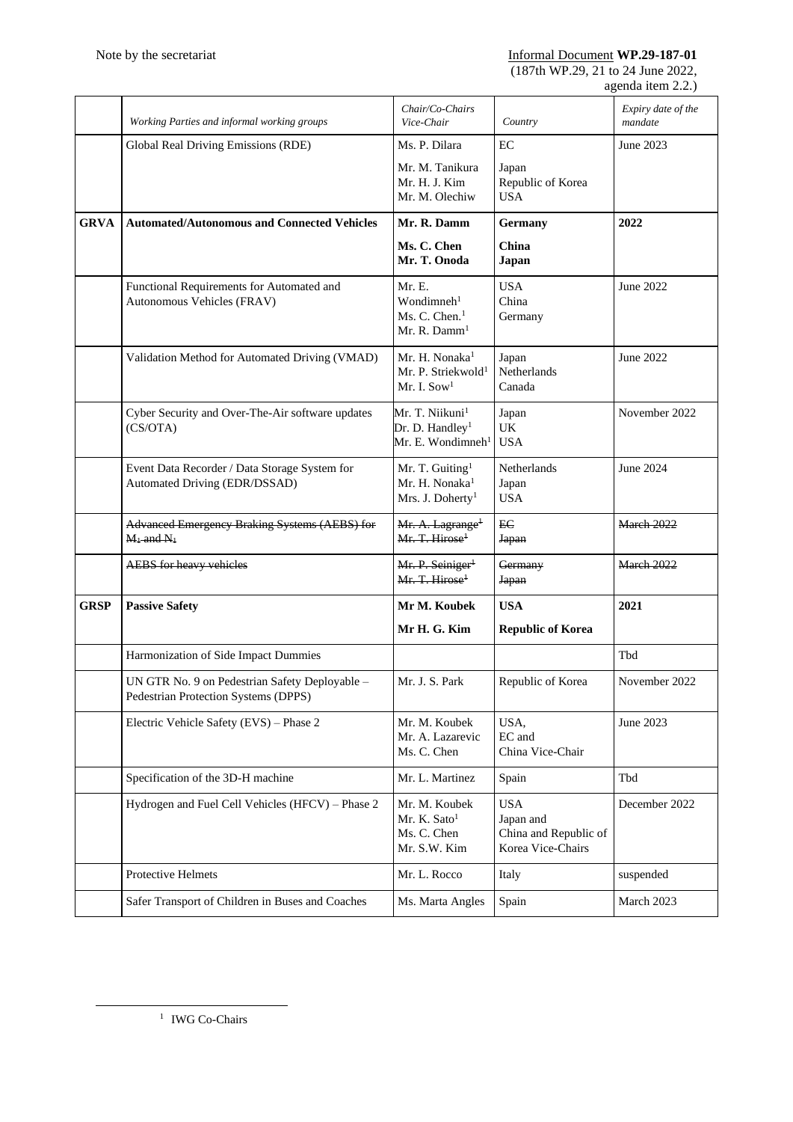(187th WP.29, 21 to 24 June 2022, agenda item 2.2.)

|             | Working Parties and informal working groups                                            | Chair/Co-Chairs<br>Vice-Chair                                                               | Country                                                               | Expiry date of the<br>mandate |
|-------------|----------------------------------------------------------------------------------------|---------------------------------------------------------------------------------------------|-----------------------------------------------------------------------|-------------------------------|
|             | Global Real Driving Emissions (RDE)                                                    | Ms. P. Dilara                                                                               | EC                                                                    | June 2023                     |
|             |                                                                                        | Mr. M. Tanikura<br>Mr. H. J. Kim<br>Mr. M. Olechiw                                          | Japan<br>Republic of Korea<br><b>USA</b>                              |                               |
| <b>GRVA</b> | <b>Automated/Autonomous and Connected Vehicles</b>                                     | Mr. R. Damm                                                                                 | Germany                                                               | 2022                          |
|             |                                                                                        | Ms. C. Chen<br>Mr. T. Onoda                                                                 | China<br>Japan                                                        |                               |
|             | Functional Requirements for Automated and<br>Autonomous Vehicles (FRAV)                | Mr. E.<br>Wondimneh <sup>1</sup><br>Ms. C. Chen. <sup>1</sup><br>Mr. R. Damm <sup>1</sup>   | <b>USA</b><br>China<br>Germany                                        | June 2022                     |
|             | Validation Method for Automated Driving (VMAD)                                         | Mr. H. Nonaka <sup>1</sup><br>Mr. P. Striekwold <sup>1</sup><br>Mr. I. $\mathrm{Sow^1}$     | Japan<br>Netherlands<br>Canada                                        | June 2022                     |
|             | Cyber Security and Over-The-Air software updates<br>(CS/OTA)                           | Mr. T. Niikuni <sup>1</sup><br>Dr. D. Handley <sup>1</sup><br>Mr. E. Wondimneh <sup>1</sup> | Japan<br>UK<br><b>USA</b>                                             | November 2022                 |
|             | Event Data Recorder / Data Storage System for<br>Automated Driving (EDR/DSSAD)         | Mr. T. Guiting <sup>1</sup><br>Mr. H. Nonaka <sup>1</sup><br>Mrs. J. Doherty <sup>1</sup>   | Netherlands<br>Japan<br><b>USA</b>                                    | June 2024                     |
|             | Advanced Emergency Braking Systems (AEBS) for<br>$M_1$ and $N_1$                       | Mr. A. Lagrange <sup>+</sup><br>Mr. T. Hirose <sup>1</sup>                                  | EC<br><b>Japan</b>                                                    | <b>March 2022</b>             |
|             | <b>AEBS</b> for heavy vehicles                                                         | Mr. P. Seiniger <sup>1</sup><br>Mr. T. Hirose <sup>1</sup>                                  | Germany<br><b>Japan</b>                                               | <b>March 2022</b>             |
| <b>GRSP</b> | <b>Passive Safety</b>                                                                  | Mr M. Koubek                                                                                | <b>USA</b>                                                            | 2021                          |
|             |                                                                                        | Mr H. G. Kim                                                                                | <b>Republic of Korea</b>                                              |                               |
|             | Harmonization of Side Impact Dummies                                                   |                                                                                             |                                                                       | Tbd                           |
|             | UN GTR No. 9 on Pedestrian Safety Deployable -<br>Pedestrian Protection Systems (DPPS) | Mr. J. S. Park                                                                              | Republic of Korea                                                     | November 2022                 |
|             | Electric Vehicle Safety (EVS) - Phase 2                                                | Mr. M. Koubek<br>Mr. A. Lazarevic<br>Ms. C. Chen                                            | USA,<br>EC and<br>China Vice-Chair                                    | June 2023                     |
|             | Specification of the 3D-H machine                                                      | Mr. L. Martinez                                                                             | Spain                                                                 | Tbd                           |
|             | Hydrogen and Fuel Cell Vehicles (HFCV) - Phase 2                                       | Mr. M. Koubek<br>Mr. K. Sato <sup>1</sup><br>Ms. C. Chen<br>Mr. S.W. Kim                    | <b>USA</b><br>Japan and<br>China and Republic of<br>Korea Vice-Chairs | December 2022                 |
|             | <b>Protective Helmets</b>                                                              | Mr. L. Rocco                                                                                | Italy                                                                 | suspended                     |
|             | Safer Transport of Children in Buses and Coaches                                       | Ms. Marta Angles                                                                            | Spain                                                                 | March 2023                    |